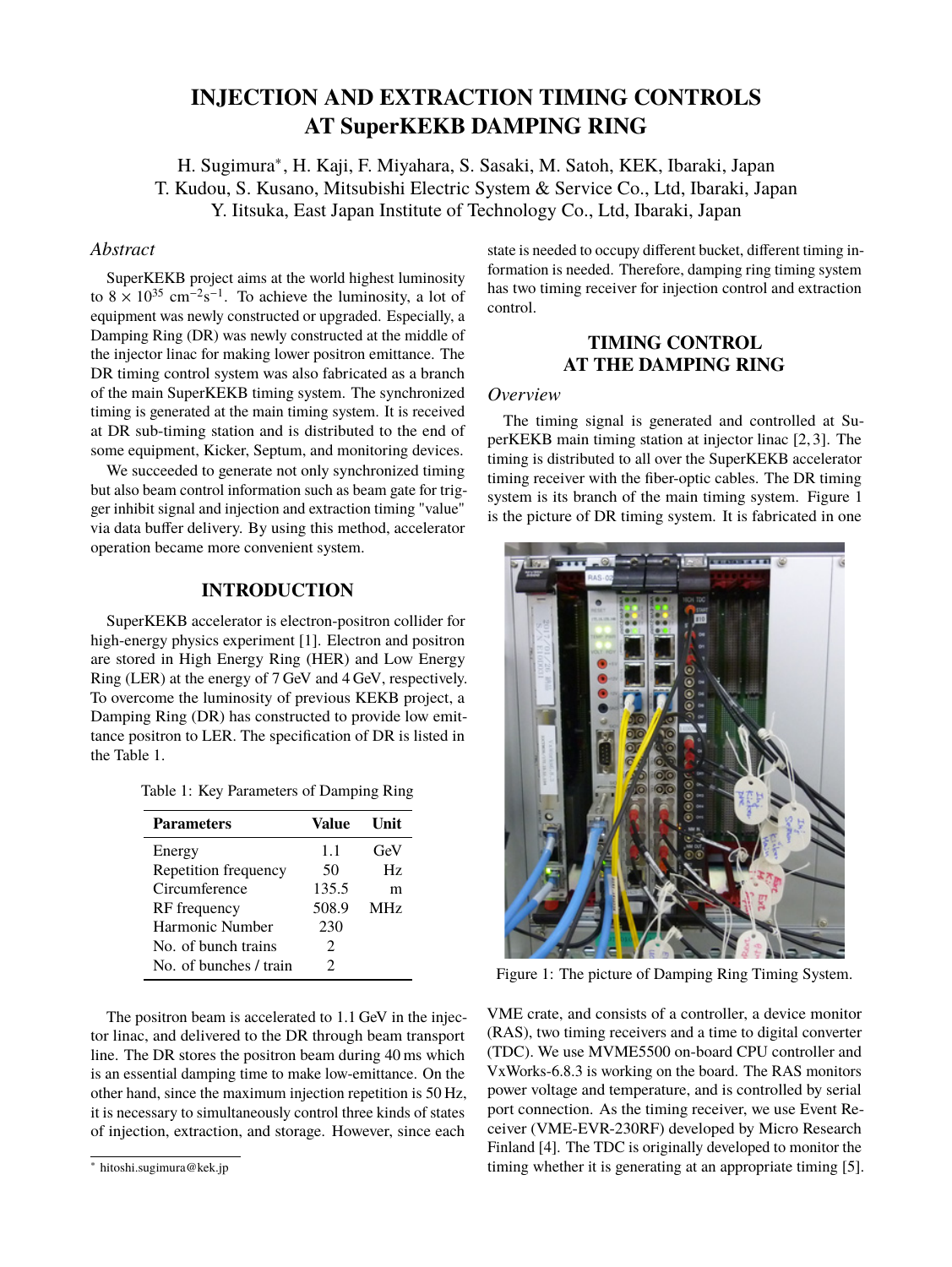# **INJECTION AND EXTRACTION TIMING CONTROLS AT SuperKEKB DAMPING RING**

H. Sugimura<sup>∗</sup> , H. Kaji, F. Miyahara, S. Sasaki, M. Satoh, KEK, Ibaraki, Japan T. Kudou, S. Kusano, Mitsubishi Electric System & Service Co., Ltd, Ibaraki, Japan Y. Iitsuka, East Japan Institute of Technology Co., Ltd, Ibaraki, Japan

# *Abstract*

SuperKEKB project aims at the world highest luminosity to  $8 \times 10^{35}$  cm<sup>-2</sup>s<sup>-1</sup>. To achieve the luminosity, a lot of equipment was newly constructed or upgraded. Especially, a Damping Ring (DR) was newly constructed at the middle of the injector linac for making lower positron emittance. The DR timing control system was also fabricated as a branch of the main SuperKEKB timing system. The synchronized timing is generated at the main timing system. It is received at DR sub-timing station and is distributed to the end of some equipment, Kicker, Septum, and monitoring devices.

We succeeded to generate not only synchronized timing but also beam control information such as beam gate for trigger inhibit signal and injection and extraction timing "value" via data buffer delivery. By using this method, accelerator operation became more convenient system.

# **INTRODUCTION**

SuperKEKB accelerator is electron-positron collider for high-energy physics experiment [1]. Electron and positron are stored in High Energy Ring (HER) and Low Energy Ring (LER) at the energy of 7 GeV and 4 GeV, respectively. To overcome the luminosity of previous KEKB project, a Damping Ring (DR) has constructed to provide low emittance positron to LER. The specification of DR is listed in the Table 1.

| Table 1: Key Parameters of Damping Ring |  |  |
|-----------------------------------------|--|--|
|-----------------------------------------|--|--|

| <b>Parameters</b>      | Value                       | Unit            |
|------------------------|-----------------------------|-----------------|
| Energy                 | 1.1                         | GeV             |
| Repetition frequency   | 50                          | Hz.             |
| Circumference          | 135.5                       | m               |
| RF frequency           | 508.9                       | MH <sub>z</sub> |
| Harmonic Number        | 230                         |                 |
| No. of bunch trains    | $\mathcal{D}_{\mathcal{L}}$ |                 |
| No. of bunches / train | 2                           |                 |

The positron beam is accelerated to 1.1 GeV in the injector linac, and delivered to the DR through beam transport line. The DR stores the positron beam during 40 ms which is an essential damping time to make low-emittance. On the other hand, since the maximum injection repetition is 50 Hz, it is necessary to simultaneously control three kinds of states of injection, extraction, and storage. However, since each

state is needed to occupy different bucket, different timing information is needed. Therefore, damping ring timing system has two timing receiver for injection control and extraction control.

# **TIMING CONTROL AT THE DAMPING RING**

## *Overview*

The timing signal is generated and controlled at SuperKEKB main timing station at injector linac [2, 3]. The timing is distributed to all over the SuperKEKB accelerator timing receiver with the fiber-optic cables. The DR timing system is its branch of the main timing system. Figure 1 is the picture of DR timing system. It is fabricated in one



Figure 1: The picture of Damping Ring Timing System.

VME crate, and consists of a controller, a device monitor (RAS), two timing receivers and a time to digital converter (TDC). We use MVME5500 on-board CPU controller and VxWorks-6.8.3 is working on the board. The RAS monitors power voltage and temperature, and is controlled by serial port connection. As the timing receiver, we use Event Receiver (VME-EVR-230RF) developed by Micro Research Finland [4]. The TDC is originally developed to monitor the timing whether it is generating at an appropriate timing [5].

<sup>∗</sup> hitoshi.sugimura@kek.jp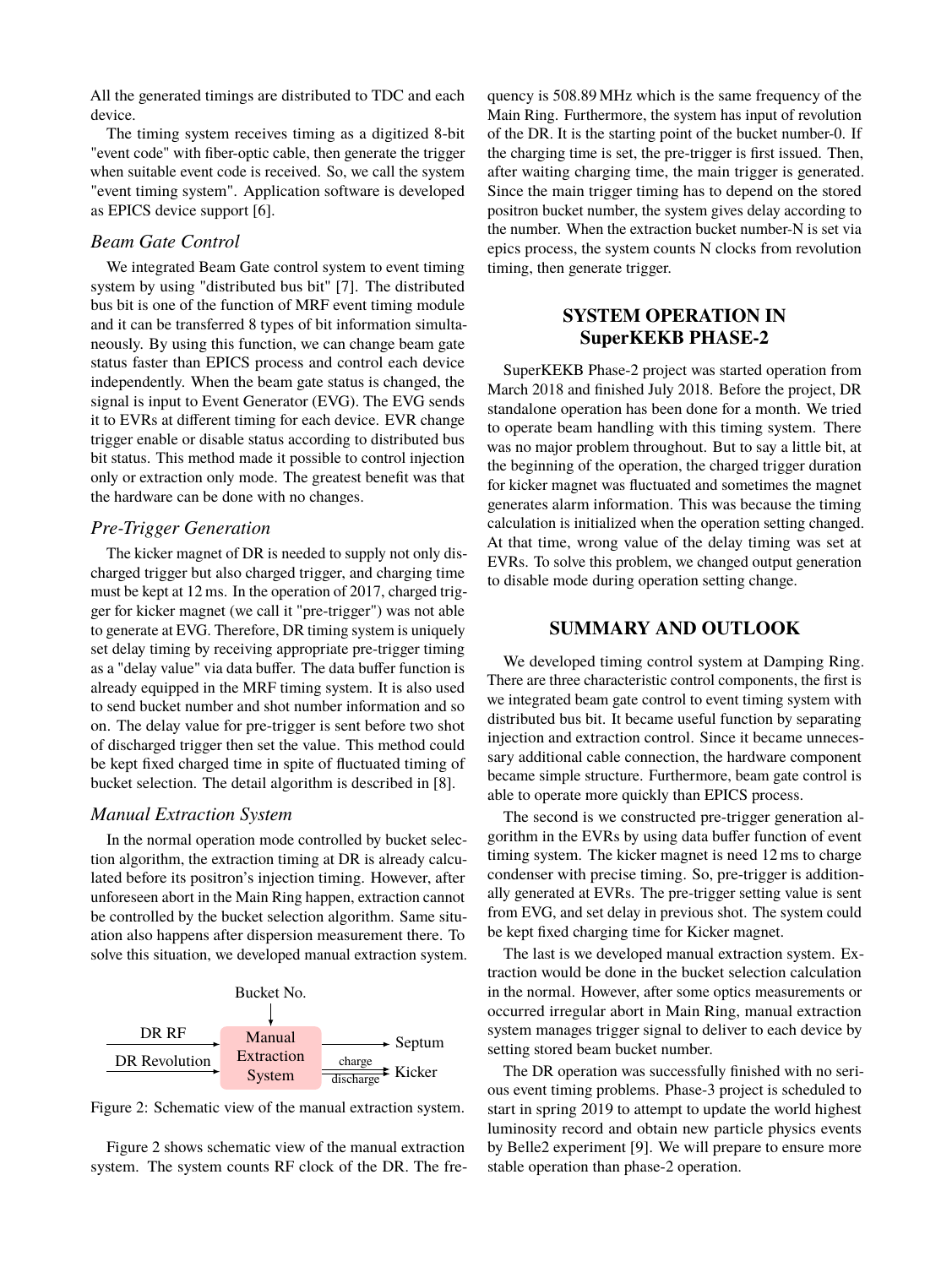All the generated timings are distributed to TDC and each device.

The timing system receives timing as a digitized 8-bit "event code" with fiber-optic cable, then generate the trigger when suitable event code is received. So, we call the system "event timing system". Application software is developed as EPICS device support [6].

## *Beam Gate Control*

We integrated Beam Gate control system to event timing system by using "distributed bus bit" [7]. The distributed bus bit is one of the function of MRF event timing module and it can be transferred 8 types of bit information simultaneously. By using this function, we can change beam gate status faster than EPICS process and control each device independently. When the beam gate status is changed, the signal is input to Event Generator (EVG). The EVG sends it to EVRs at different timing for each device. EVR change trigger enable or disable status according to distributed bus bit status. This method made it possible to control injection only or extraction only mode. The greatest benefit was that the hardware can be done with no changes.

#### *Pre-Trigger Generation*

The kicker magnet of DR is needed to supply not only discharged trigger but also charged trigger, and charging time must be kept at 12 ms. In the operation of 2017, charged trigger for kicker magnet (we call it "pre-trigger") was not able to generate at EVG. Therefore, DR timing system is uniquely set delay timing by receiving appropriate pre-trigger timing as a "delay value" via data buffer. The data buffer function is already equipped in the MRF timing system. It is also used to send bucket number and shot number information and so on. The delay value for pre-trigger is sent before two shot of discharged trigger then set the value. This method could be kept fixed charged time in spite of fluctuated timing of bucket selection. The detail algorithm is described in [8].

#### *Manual Extraction System*

In the normal operation mode controlled by bucket selection algorithm, the extraction timing at DR is already calculated before its positron's injection timing. However, after unforeseen abort in the Main Ring happen, extraction cannot be controlled by the bucket selection algorithm. Same situation also happens after dispersion measurement there. To solve this situation, we developed manual extraction system.



Figure 2: Schematic view of the manual extraction system.

Figure 2 shows schematic view of the manual extraction system. The system counts RF clock of the DR. The frequency is 508.89 MHz which is the same frequency of the Main Ring. Furthermore, the system has input of revolution of the DR. It is the starting point of the bucket number-0. If the charging time is set, the pre-trigger is first issued. Then, after waiting charging time, the main trigger is generated. Since the main trigger timing has to depend on the stored positron bucket number, the system gives delay according to the number. When the extraction bucket number-N is set via epics process, the system counts N clocks from revolution timing, then generate trigger.

# **SYSTEM OPERATION IN SuperKEKB PHASE-2**

SuperKEKB Phase-2 project was started operation from March 2018 and finished July 2018. Before the project, DR standalone operation has been done for a month. We tried to operate beam handling with this timing system. There was no major problem throughout. But to say a little bit, at the beginning of the operation, the charged trigger duration for kicker magnet was fluctuated and sometimes the magnet generates alarm information. This was because the timing calculation is initialized when the operation setting changed. At that time, wrong value of the delay timing was set at EVRs. To solve this problem, we changed output generation to disable mode during operation setting change.

# **SUMMARY AND OUTLOOK**

We developed timing control system at Damping Ring. There are three characteristic control components, the first is we integrated beam gate control to event timing system with distributed bus bit. It became useful function by separating injection and extraction control. Since it became unnecessary additional cable connection, the hardware component became simple structure. Furthermore, beam gate control is able to operate more quickly than EPICS process.

The second is we constructed pre-trigger generation algorithm in the EVRs by using data buffer function of event timing system. The kicker magnet is need 12 ms to charge condenser with precise timing. So, pre-trigger is additionally generated at EVRs. The pre-trigger setting value is sent from EVG, and set delay in previous shot. The system could be kept fixed charging time for Kicker magnet.

The last is we developed manual extraction system. Extraction would be done in the bucket selection calculation in the normal. However, after some optics measurements or occurred irregular abort in Main Ring, manual extraction system manages trigger signal to deliver to each device by setting stored beam bucket number.

The DR operation was successfully finished with no serious event timing problems. Phase-3 project is scheduled to start in spring 2019 to attempt to update the world highest luminosity record and obtain new particle physics events by Belle2 experiment [9]. We will prepare to ensure more stable operation than phase-2 operation.